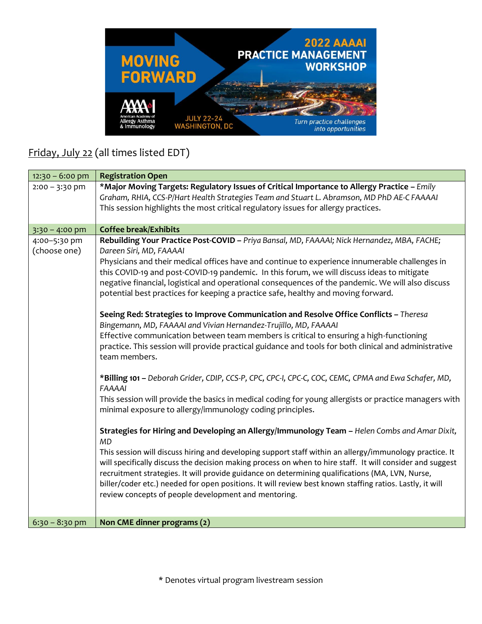

## Friday, July 22 (all times listed EDT)

| $12:30 - 6:00$ pm            | <b>Registration Open</b>                                                                                                                                                                                                                                            |
|------------------------------|---------------------------------------------------------------------------------------------------------------------------------------------------------------------------------------------------------------------------------------------------------------------|
| $2:00 - 3:30$ pm             | *Major Moving Targets: Regulatory Issues of Critical Importance to Allergy Practice - Emily                                                                                                                                                                         |
|                              | Graham, RHIA, CCS-P/Hart Health Strategies Team and Stuart L. Abramson, MD PhD AE-C FAAAAI                                                                                                                                                                          |
|                              | This session highlights the most critical regulatory issues for allergy practices.                                                                                                                                                                                  |
|                              |                                                                                                                                                                                                                                                                     |
| $3:30 - 4:00$ pm             | <b>Coffee break/Exhibits</b>                                                                                                                                                                                                                                        |
| 4:00-5:30 pm<br>(choose one) | Rebuilding Your Practice Post-COVID - Priya Bansal, MD, FAAAAI; Nick Hernandez, MBA, FACHE;<br>Dareen Siri, MD, FAAAAI                                                                                                                                              |
|                              | Physicians and their medical offices have and continue to experience innumerable challenges in<br>this COVID-19 and post-COVID-19 pandemic. In this forum, we will discuss ideas to mitigate                                                                        |
|                              | negative financial, logistical and operational consequences of the pandemic. We will also discuss<br>potential best practices for keeping a practice safe, healthy and moving forward.                                                                              |
|                              | Seeing Red: Strategies to Improve Communication and Resolve Office Conflicts - Theresa<br>Bingemann, MD, FAAAAI and Vivian Hernandez-Trujillo, MD, FAAAAI                                                                                                           |
|                              | Effective communication between team members is critical to ensuring a high-functioning<br>practice. This session will provide practical guidance and tools for both clinical and administrative<br>team members.                                                   |
|                              | *Billing 101 - Deborah Grider, CDIP, CCS-P, CPC, CPC-I, CPC-C, COC, CEMC, CPMA and Ewa Schafer, MD,<br><b>FAAAAI</b>                                                                                                                                                |
|                              | This session will provide the basics in medical coding for young allergists or practice managers with<br>minimal exposure to allergy/immunology coding principles.                                                                                                  |
|                              | Strategies for Hiring and Developing an Allergy/Immunology Team - Helen Combs and Amar Dixit,<br><b>MD</b>                                                                                                                                                          |
|                              | This session will discuss hiring and developing support staff within an allergy/immunology practice. It<br>will specifically discuss the decision making process on when to hire staff. It will consider and suggest                                                |
|                              | recruitment strategies. It will provide guidance on determining qualifications (MA, LVN, Nurse,<br>biller/coder etc.) needed for open positions. It will review best known staffing ratios. Lastly, it will<br>review concepts of people development and mentoring. |
|                              |                                                                                                                                                                                                                                                                     |
| $6:30 - 8:30$ pm             | Non CME dinner programs (2)                                                                                                                                                                                                                                         |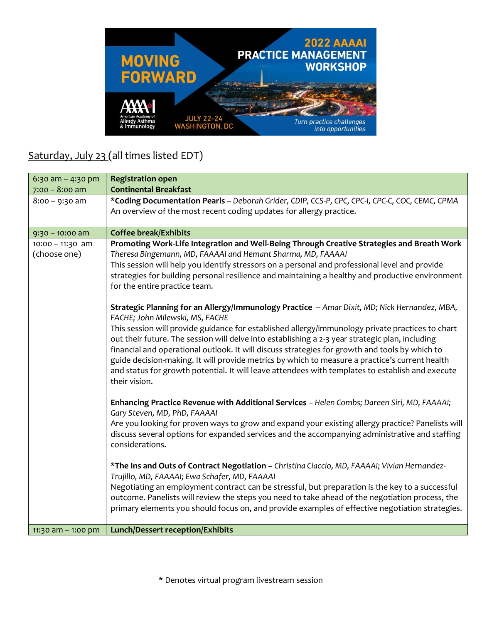

## Saturday, July 23 (all times listed EDT)

| 6:30 am $-$ 4:30 pm                | <b>Registration open</b>                                                                                                                                                                                                                                                                                                                                                                                                                                                                                                                                                                                                                                                                                                                                                                                                                                                                                                                                                                                                                                                                                                                                                                                                                                                                                                                                                                                                                                                                                                                                                                                                                                                                                                                                                                                                                                                                |
|------------------------------------|-----------------------------------------------------------------------------------------------------------------------------------------------------------------------------------------------------------------------------------------------------------------------------------------------------------------------------------------------------------------------------------------------------------------------------------------------------------------------------------------------------------------------------------------------------------------------------------------------------------------------------------------------------------------------------------------------------------------------------------------------------------------------------------------------------------------------------------------------------------------------------------------------------------------------------------------------------------------------------------------------------------------------------------------------------------------------------------------------------------------------------------------------------------------------------------------------------------------------------------------------------------------------------------------------------------------------------------------------------------------------------------------------------------------------------------------------------------------------------------------------------------------------------------------------------------------------------------------------------------------------------------------------------------------------------------------------------------------------------------------------------------------------------------------------------------------------------------------------------------------------------------------|
| $7:00 - 8:00$ am                   | <b>Continental Breakfast</b>                                                                                                                                                                                                                                                                                                                                                                                                                                                                                                                                                                                                                                                                                                                                                                                                                                                                                                                                                                                                                                                                                                                                                                                                                                                                                                                                                                                                                                                                                                                                                                                                                                                                                                                                                                                                                                                            |
| $8:00 - 9:30$ am                   | *Coding Documentation Pearls - Deborah Grider, CDIP, CCS-P, CPC, CPC-I, CPC-C, COC, CEMC, CPMA<br>An overview of the most recent coding updates for allergy practice.                                                                                                                                                                                                                                                                                                                                                                                                                                                                                                                                                                                                                                                                                                                                                                                                                                                                                                                                                                                                                                                                                                                                                                                                                                                                                                                                                                                                                                                                                                                                                                                                                                                                                                                   |
| $9:30 - 10:00$ am                  | <b>Coffee break/Exhibits</b>                                                                                                                                                                                                                                                                                                                                                                                                                                                                                                                                                                                                                                                                                                                                                                                                                                                                                                                                                                                                                                                                                                                                                                                                                                                                                                                                                                                                                                                                                                                                                                                                                                                                                                                                                                                                                                                            |
| $10:00 - 11:30$ am<br>(choose one) | Promoting Work-Life Integration and Well-Being Through Creative Strategies and Breath Work<br>Theresa Bingemann, MD, FAAAAI and Hemant Sharma, MD, FAAAAI<br>This session will help you identify stressors on a personal and professional level and provide<br>strategies for building personal resilience and maintaining a healthy and productive environment<br>for the entire practice team.<br>Strategic Planning for an Allergy/Immunology Practice -- Amar Dixit, MD; Nick Hernandez, MBA,<br>FACHE; John Milewski, MS, FACHE<br>This session will provide guidance for established allergy/immunology private practices to chart<br>out their future. The session will delve into establishing a 2-3 year strategic plan, including<br>financial and operational outlook. It will discuss strategies for growth and tools by which to<br>guide decision-making. It will provide metrics by which to measure a practice's current health<br>and status for growth potential. It will leave attendees with templates to establish and execute<br>their vision.<br>Enhancing Practice Revenue with Additional Services - Helen Combs; Dareen Siri, MD, FAAAAI;<br>Gary Steven, MD, PhD, FAAAAI<br>Are you looking for proven ways to grow and expand your existing allergy practice? Panelists will<br>discuss several options for expanded services and the accompanying administrative and staffing<br>considerations.<br>*The Ins and Outs of Contract Negotiation - Christina Ciaccio, MD, FAAAAI; Vivian Hernandez-<br>Trujillo, MD, FAAAAI; Ewa Schafer, MD, FAAAAI<br>Negotiating an employment contract can be stressful, but preparation is the key to a successful<br>outcome. Panelists will review the steps you need to take ahead of the negotiation process, the<br>primary elements you should focus on, and provide examples of effective negotiation strategies. |
| 11:30 am $-$ 1:00 pm               | <b>Lunch/Dessert reception/Exhibits</b>                                                                                                                                                                                                                                                                                                                                                                                                                                                                                                                                                                                                                                                                                                                                                                                                                                                                                                                                                                                                                                                                                                                                                                                                                                                                                                                                                                                                                                                                                                                                                                                                                                                                                                                                                                                                                                                 |
|                                    |                                                                                                                                                                                                                                                                                                                                                                                                                                                                                                                                                                                                                                                                                                                                                                                                                                                                                                                                                                                                                                                                                                                                                                                                                                                                                                                                                                                                                                                                                                                                                                                                                                                                                                                                                                                                                                                                                         |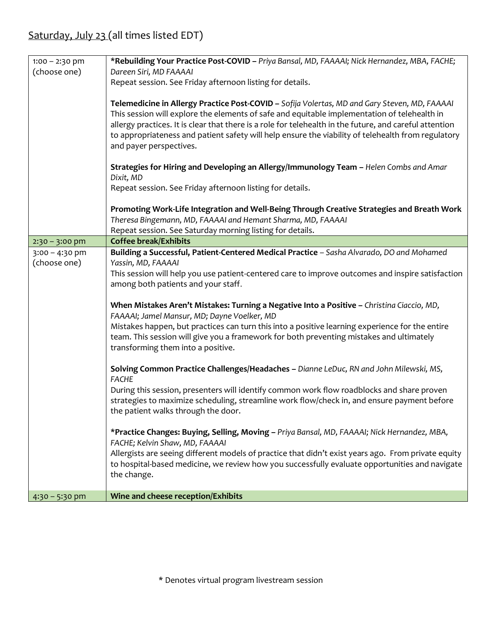| $1:00 - 2:30$ pm                 | *Rebuilding Your Practice Post-COVID - Priya Bansal, MD, FAAAAI; Nick Hernandez, MBA, FACHE;                                                                                                                                                                                                                                                                                                                                                                                                                                                                                                                                                  |
|----------------------------------|-----------------------------------------------------------------------------------------------------------------------------------------------------------------------------------------------------------------------------------------------------------------------------------------------------------------------------------------------------------------------------------------------------------------------------------------------------------------------------------------------------------------------------------------------------------------------------------------------------------------------------------------------|
| (choose one)                     | Dareen Siri, MD FAAAAI                                                                                                                                                                                                                                                                                                                                                                                                                                                                                                                                                                                                                        |
|                                  | Repeat session. See Friday afternoon listing for details.                                                                                                                                                                                                                                                                                                                                                                                                                                                                                                                                                                                     |
|                                  | Telemedicine in Allergy Practice Post-COVID - Sofija Volertas, MD and Gary Steven, MD, FAAAAI<br>This session will explore the elements of safe and equitable implementation of telehealth in<br>allergy practices. It is clear that there is a role for telehealth in the future, and careful attention<br>to appropriateness and patient safety will help ensure the viability of telehealth from regulatory<br>and payer perspectives.                                                                                                                                                                                                     |
|                                  | Strategies for Hiring and Developing an Allergy/Immunology Team - Helen Combs and Amar<br>Dixit, MD                                                                                                                                                                                                                                                                                                                                                                                                                                                                                                                                           |
|                                  | Repeat session. See Friday afternoon listing for details.                                                                                                                                                                                                                                                                                                                                                                                                                                                                                                                                                                                     |
|                                  | Promoting Work-Life Integration and Well-Being Through Creative Strategies and Breath Work<br>Theresa Bingemann, MD, FAAAAI and Hemant Sharma, MD, FAAAAI<br>Repeat session. See Saturday morning listing for details.                                                                                                                                                                                                                                                                                                                                                                                                                        |
| $2:30 - 3:00$ pm                 | <b>Coffee break/Exhibits</b>                                                                                                                                                                                                                                                                                                                                                                                                                                                                                                                                                                                                                  |
| $3:00 - 4:30$ pm<br>(choose one) | Building a Successful, Patient-Centered Medical Practice - Sasha Alvarado, DO and Mohamed<br>Yassin, MD, FAAAAI<br>This session will help you use patient-centered care to improve outcomes and inspire satisfaction<br>among both patients and your staff.<br>When Mistakes Aren't Mistakes: Turning a Negative Into a Positive - Christina Ciaccio, MD,<br>FAAAAI; Jamel Mansur, MD; Dayne Voelker, MD<br>Mistakes happen, but practices can turn this into a positive learning experience for the entire<br>team. This session will give you a framework for both preventing mistakes and ultimately<br>transforming them into a positive. |
|                                  | Solving Common Practice Challenges/Headaches - Dianne LeDuc, RN and John Milewski, MS,<br><b>FACHE</b>                                                                                                                                                                                                                                                                                                                                                                                                                                                                                                                                        |
|                                  | During this session, presenters will identify common work flow roadblocks and share proven<br>strategies to maximize scheduling, streamline work flow/check in, and ensure payment before<br>the patient walks through the door.                                                                                                                                                                                                                                                                                                                                                                                                              |
|                                  | *Practice Changes: Buying, Selling, Moving - Priya Bansal, MD, FAAAAI; Nick Hernandez, MBA,<br>FACHE; Kelvin Shaw, MD, FAAAAI<br>Allergists are seeing different models of practice that didn't exist years ago. From private equity<br>to hospital-based medicine, we review how you successfully evaluate opportunities and navigate<br>the change.                                                                                                                                                                                                                                                                                         |
| $4:30 - 5:30$ pm                 | Wine and cheese reception/Exhibits                                                                                                                                                                                                                                                                                                                                                                                                                                                                                                                                                                                                            |